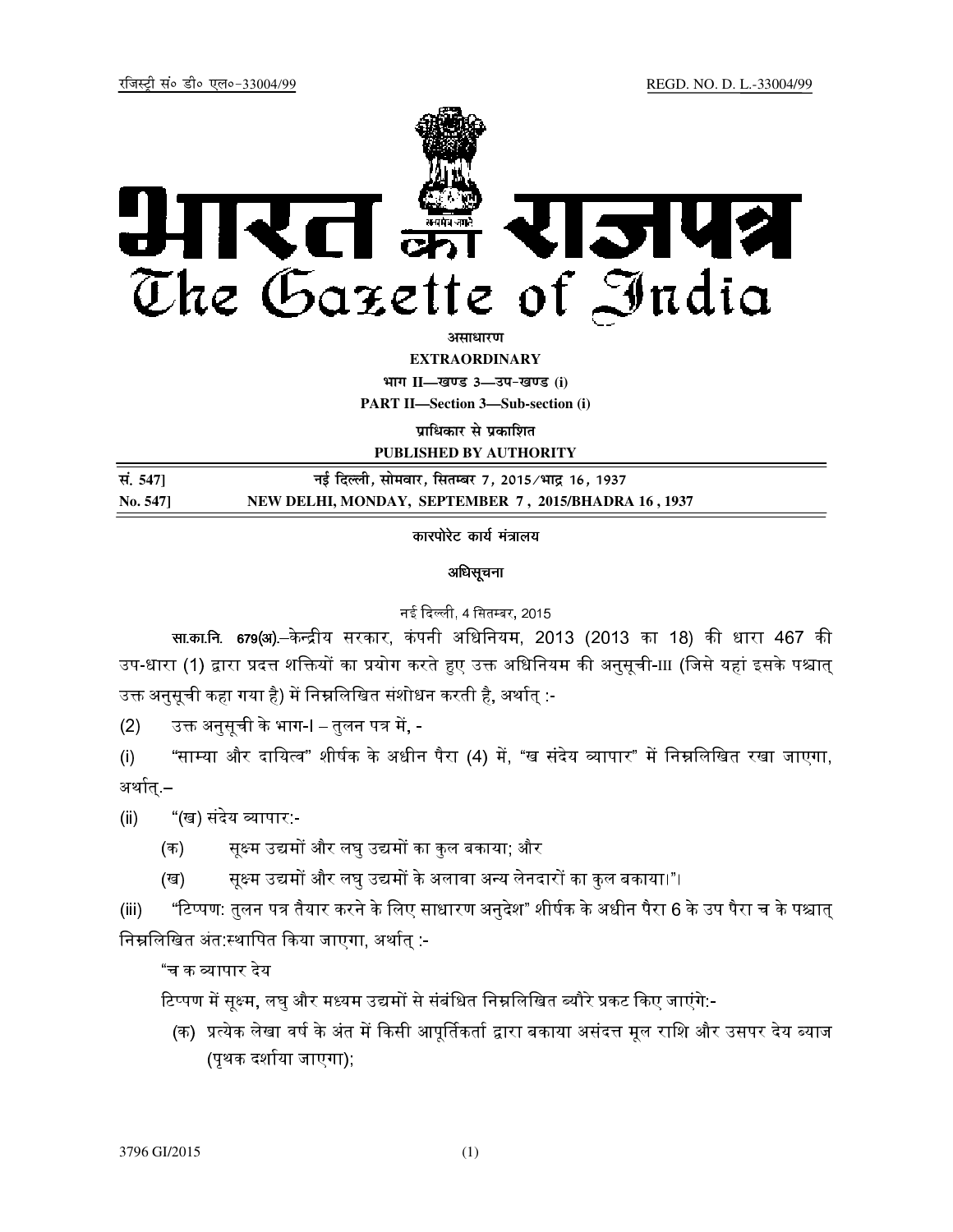

असाधार**ण** 

**EXTRAORDINARY**

**Hkkx II—[k.M 3—mi&[k.M (i) PART II—Section 3—Sub-section (i)** 

**प्राधिकार से प्रकाशित** 

**PUBLISHED BY AUTHORITY**

| सं. 547] | नई दिल्ली, सोमवार, सितम्बर 7, 2015∕भाद्र 16, 1937    |
|----------|------------------------------------------------------|
| No. 547] | NEW DELHI, MONDAY, SEPTEMBER 7, 2015/BHADRA 16, 1937 |

# कारपोरेट कार्य मंत्रालय

## अधिसूचना

### नई दिल्ली, 4 सितम्बर, 2015

सा.का.नि. 679(अ).–केन्द्रीय सरकार, कंपनी अधिनियम, 2013 (2013 का 18) की धारा 467 की उप-धारा (1) द्वारा प्रदत्त शक्तियों का प्रयोग करते हुए उक्त अधिनियम की अनुसूची-III (जिसे यहां इसके पश्चात् उक्त अनुसूची कहा गया है) में निम्नलिखित संशोधन करती है, अर्थात् :-

<u>(2) ज्</u>त अनुसूची के भाग-I – तुलन पत्र में, -

(i) "साम्या और दायित्व" शीर्षक के अधीन पैरा (4) में, "ख संदेय व्यापार" में निम्नलिखित रखा जाएगा, अर्थात् –

(ii) "(ख) संदेय व्यापार:-

- (क) सूक्ष्म उद्यमों और लघु उद्यमों का कुल बकाया; और
- (ख) स्थिम उद्यमों और लघु उद्यमों के अलावा अन्य लेनदारों का कुल बकाया।"।

(iii) "टिप्पण: तुलन पत्र तैयार करने के लिए साधारण अनुदेश" शीर्षक के अधीन पैरा 6 के उप पैरा च के पश्चात् निम्नलिखित अंत:स्थापित किया जाएगा, अर्थात् :-

"च क Aापार देय

टिप्पण में सूक्ष्म, लघु और मध्यम उद्यमों से संबंधित निम्नलिखित ब्यौरे प्रकट किए जाएंगे:-

(क) प्रत्येक लेखा वर्ष के अंत में किसी आपूर्तिकर्ता द्वारा बकाया असंदत्त मूल राशि और उसपर देय ब्याज (पृथक दर्शाया जाएगा);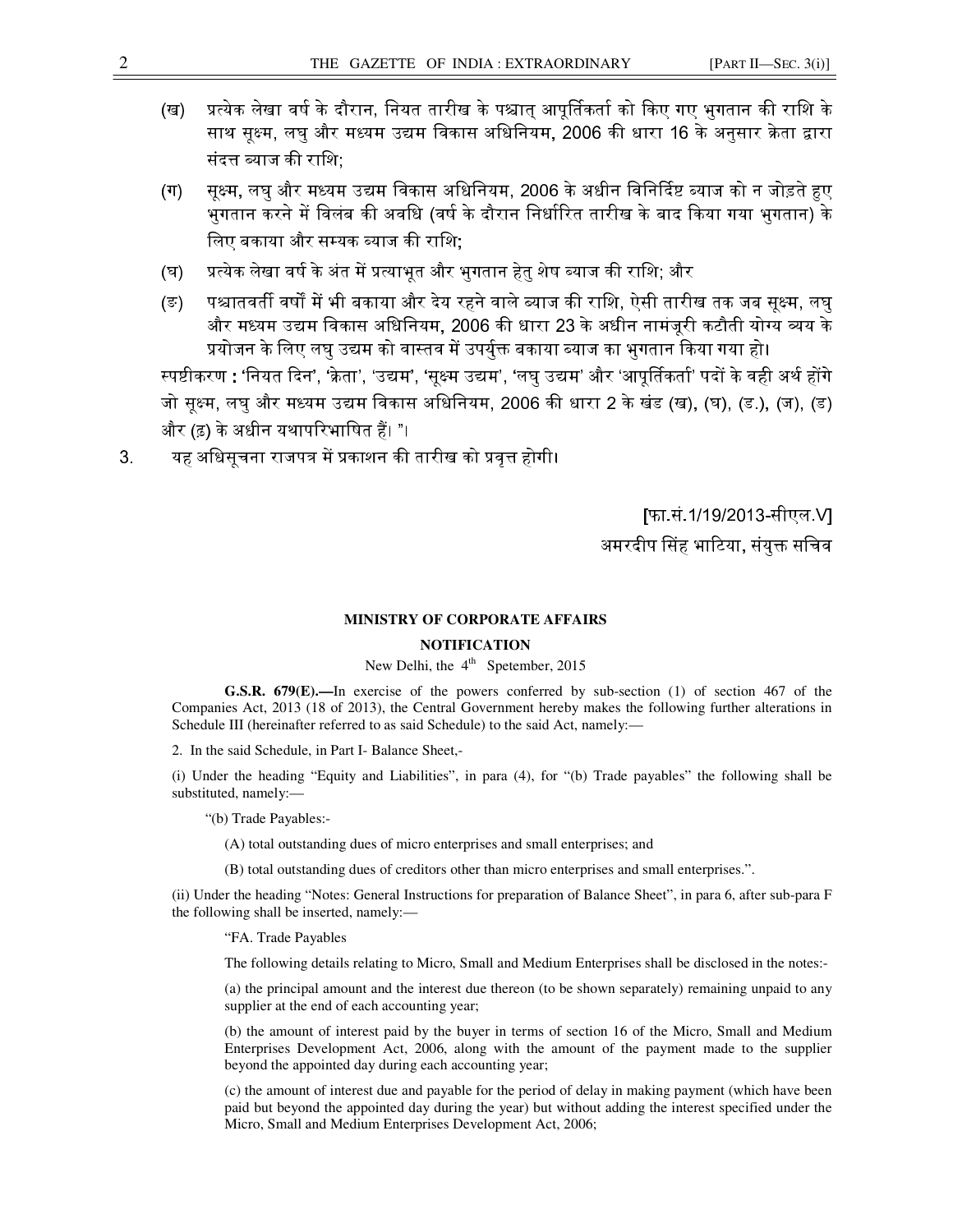- 
- (ख) प्रत्येक लेखा वर्ष के दौरान, नियत तारीख के पश्चात् आपूर्तिकर्ता को किए गए भुगतान की राशि के साथ सूक्ष्म, लघु और मध्यम उद्यम विकास अधिनियम, 2006 की धारा 16 के अनुसार क्रेता द्वारा संदत्त ब्याज की राशि:
- (ग) सूक्ष्म, लघु और मध्यम उद्यम विकास अधिनियम, 2006 के अधीन विनिर्दिष्ट ब्याज को न जोड़ते हुए ्.<br>भुगतान करने में विलंब की अवधि (वर्ष के दौरान निर्धारित तारीख के बाद किया गया भुगतान) के लिए बकाया और सम्यक ब्याज की राशि;
- (घ) प्रत्येक लेखा वर्ष के अंत में प्रत्याभूत और भुगतान हेतु शेष ब्याज की राशि; और
- (ङ) पश्चातवर्ती वर्षों में भी बकाया और देय रहने वाले ब्याज की राशि, ऐसी तारीख तक जब सूक्ष्म, लघु और मध्यम उद्यम विकास अधिनियम, 2006 की धारा 23 के अधीन नामंजूरी कटौती योग्य व्यय के <u>प्रयोजन के लिए लघु उद्यम को वास्तव में उपर्युक्त बकाया ब्याज का भुगतान किया गया हो।</u>

स्पष्टीकरण : 'नियत दिन', 'क्रेता', 'उद्यम', 'सूक्ष्म उद्यम', 'लघु उद्यम' और 'आपूर्तिकर्ता' पदों के वही अर्थ होंगे जो सूक्ष्म, लघु और मध्यम उद्यम विकास अधिनियम, 2006 की धारा 2 के खंड (ख), (घ), (ड.), (ज), (ड) और (ढ़) के अधीन यथापरिभाषित हैं। "।

3. यह अधिसूचना राजपत्र में प्रकाशन की तारीख को प्रवृत्त होगी।

[फा.सं.1/19/2013-सीएल.V] अमरदीप सिंह भाटिया, संयुक्त सचिव

#### **MINISTRY OF CORPORATE AFFAIRS**

### **NOTIFICATION**

New Delhi, the  $4<sup>th</sup>$  Spetember, 2015

**G.S.R. 679(E).—**In exercise of the powers conferred by sub-section (1) of section 467 of the Companies Act, 2013 (18 of 2013), the Central Government hereby makes the following further alterations in Schedule III (hereinafter referred to as said Schedule) to the said Act, namely:—

2. In the said Schedule, in Part I- Balance Sheet,-

(i) Under the heading "Equity and Liabilities", in para (4), for "(b) Trade payables" the following shall be substituted, namely:—

"(b) Trade Payables:-

- (A) total outstanding dues of micro enterprises and small enterprises; and
- (B) total outstanding dues of creditors other than micro enterprises and small enterprises.".

(ii) Under the heading "Notes: General Instructions for preparation of Balance Sheet", in para 6, after sub-para F the following shall be inserted, namely:—

"FA. Trade Payables

The following details relating to Micro, Small and Medium Enterprises shall be disclosed in the notes:-

(a) the principal amount and the interest due thereon (to be shown separately) remaining unpaid to any supplier at the end of each accounting year;

(b) the amount of interest paid by the buyer in terms of section 16 of the Micro, Small and Medium Enterprises Development Act, 2006, along with the amount of the payment made to the supplier beyond the appointed day during each accounting year;

(c) the amount of interest due and payable for the period of delay in making payment (which have been paid but beyond the appointed day during the year) but without adding the interest specified under the Micro, Small and Medium Enterprises Development Act, 2006;